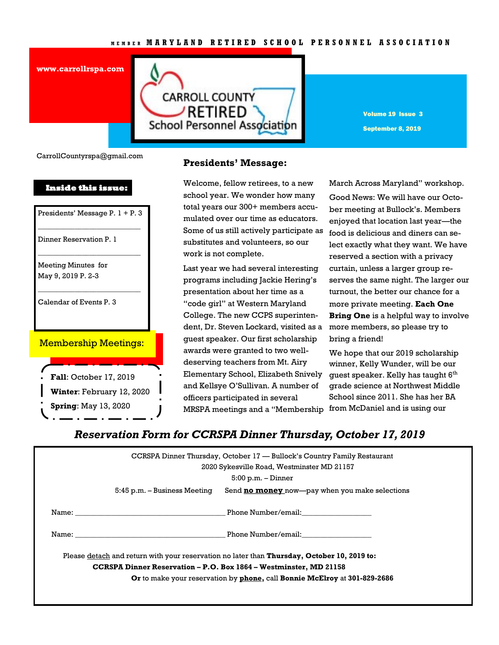#### **M E M B E R M A R Y L A N D R E T I R E D S C H O O L P E R S O N N E L A S S O C I A T I O N**

**www.carrollrspa.com** 

**CARROLL COUNTY /RETIRED** School Personnel Association

Volume 19 Issue 3 September 8, 2019

CarrollCountyrspa@gmail.com

#### **Inside this issue:**

Presidents' Message P. 1 + P. 3 \_\_\_\_\_\_\_\_\_\_\_\_\_\_\_\_\_\_\_\_\_\_\_\_\_\_\_\_

\_\_\_\_\_\_\_\_\_\_\_\_\_\_\_\_\_\_\_\_\_\_\_\_\_\_\_\_

\_\_\_\_\_\_\_\_\_\_\_\_\_\_\_\_\_\_\_\_\_\_\_\_\_\_\_\_

Dinner Reservation P. 1

Meeting Minutes for May 9, 2019 P. 2-3

Calendar of Events P. 3

#### Membership Meetings:

**Fall**: October 17, 2019 **Winter**: February 12, 2020 **Spring**: May 13, 2020

### **Presidents' Message:**

Welcome, fellow retirees, to a new school year. We wonder how many total years our 300+ members accumulated over our time as educators. Some of us still actively participate as substitutes and volunteers, so our work is not complete.

Last year we had several interesting programs including Jackie Hering's presentation about her time as a "code girl" at Western Maryland College. The new CCPS superintendent, Dr. Steven Lockard, visited as a guest speaker. Our first scholarship awards were granted to two welldeserving teachers from Mt. Airy Elementary School, Elizabeth Snively and Kellsye O'Sullivan. A number of officers participated in several MRSPA meetings and a "Membership from McDaniel and is using our

March Across Maryland" workshop. Good News: We will have our October meeting at Bullock's. Members enjoyed that location last year—the food is delicious and diners can select exactly what they want. We have reserved a section with a privacy curtain, unless a larger group reserves the same night. The larger our turnout, the better our chance for a more private meeting. **Each One Bring One** is a helpful way to involve more members, so please try to bring a friend!

We hope that our 2019 scholarship winner, Kelly Wunder, will be our guest speaker. Kelly has taught  $6<sup>th</sup>$ grade science at Northwest Middle School since 2011. She has her BA

## *Reservation Form for CCRSPA Dinner Thursday, October 17, 2019*

| CCRSPA Dinner Thursday, October 17 — Bullock's Country Family Restaurant<br>2020 Sykesville Road, Westminster MD 21157 |
|------------------------------------------------------------------------------------------------------------------------|
| $5:00$ p.m. $-$ Dinner                                                                                                 |
| Send <b>no money</b> now—pay when you make selections<br>5:45 p.m. – Business Meeting                                  |
|                                                                                                                        |
| Phone Number/email:<br>Name: Name:                                                                                     |
| Please detach and return with your reservation no later than <b>Thursday, October 10, 2019 to:</b>                     |
| CCRSPA Dinner Reservation – P.O. Box 1864 – Westminster, MD 21158                                                      |
|                                                                                                                        |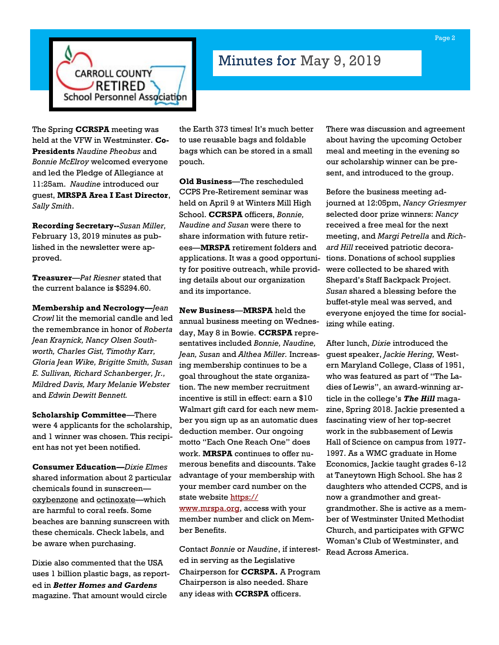

# Minutes for May 9, 2019

The Spring **CCRSPA** meeting was held at the VFW in Westminster. **Co-Presidents** *Naudine Pheobus* and *Bonnie McElroy* welcomed everyone and led the Pledge of Allegiance at 11:25am. *Naudine* introduced our guest, **MRSPA Area I East Director**, *Sally Smith*.

**Recording Secretary--***Susan Miller,*  February 13, 2019 minutes as published in the newsletter were approved.

**Treasurer**—*Pat Riesner* stated that the current balance is \$5294.60.

**Membership and Necrology—***Jean Crowl* lit the memorial candle and led the remembrance in honor of *Roberta Jean Kraynick, Nancy Olsen Southworth, Charles Gist, Timothy Karr, Gloria Jean Wike, Brigitte Smith, Susan E. Sullivan, Richard Schanberger, Jr., Mildred Davis, Mary Melanie Webster*  and *Edwin Dewitt Bennett.*

**Scholarship Committee**—There were 4 applicants for the scholarship, and 1 winner was chosen. This recipient has not yet been notified.

**Consumer Education—***Dixie Elmes* shared information about 2 particular chemicals found in sunscreen oxybenzone and octinoxate—which are harmful to coral reefs. Some beaches are banning sunscreen with these chemicals. Check labels, and be aware when purchasing.

Dixie also commented that the USA uses 1 billion plastic bags, as reported in *Better Homes and Gardens*  magazine. That amount would circle

the Earth 373 times! It's much better to use reusable bags and foldable bags which can be stored in a small pouch.

**Old Business**—The rescheduled CCPS Pre-Retirement seminar was held on April 9 at Winters Mill High School. **CCRSPA** officers, *Bonnie, Naudine and Susan* were there to share information with future retirees—**MRSPA** retirement folders and applications. It was a good opportunity for positive outreach, while providing details about our organization and its importance.

**New Business**—**MRSPA** held the annual business meeting on Wednesday, May 8 in Bowie. **CCRSPA** representatives included *Bonnie, Naudine, Jean, Susan* and *Althea Miller.* Increasing membership continues to be a goal throughout the state organization. The new member recruitment incentive is still in effect: earn a \$10 Walmart gift card for each new member you sign up as an automatic dues deduction member. Our ongoing motto "Each One Reach One" does work. **MRSPA** continues to offer numerous benefits and discounts. Take advantage of your membership with your member card number on the state website [https://](https://www.mrspa.org) [www.mrspa.org,](https://www.mrspa.org) access with your

member number and click on Member Benefits.

Contact *Bonnie* or *Naudine*, if interested in serving as the Legislative Chairperson for **CCRSPA.** A Program Chairperson is also needed. Share any ideas with **CCRSPA** officers.

There was discussion and agreement about having the upcoming October meal and meeting in the evening so our scholarship winner can be present, and introduced to the group.

Before the business meeting adjourned at 12:05pm, *Nancy Griesmyer* selected door prize winners: *Nancy*  received a free meal for the next meeting, and *Margi Petrella* and *Richard Hill* received patriotic decorations. Donations of school supplies were collected to be shared with Shepard's Staff Backpack Project. *Susan* shared a blessing before the buffet-style meal was served, and everyone enjoyed the time for socializing while eating.

After lunch, *Dixie* introduced the guest speaker, *Jackie Hering,* Western Maryland College, Class of 1951, who was featured as part of "The Ladies of Lewis", an award-winning article in the college's *The Hill* magazine, Spring 2018. Jackie presented a fascinating view of her top-secret work in the subbasement of Lewis Hall of Science on campus from 1977- 1997. As a WMC graduate in Home Economics, Jackie taught grades 6-12 at Taneytown High School. She has 2 daughters who attended CCPS, and is now a grandmother and greatgrandmother. She is active as a member of Westminster United Methodist Church, and participates with GFWC Woman's Club of Westminster, and Read Across America.